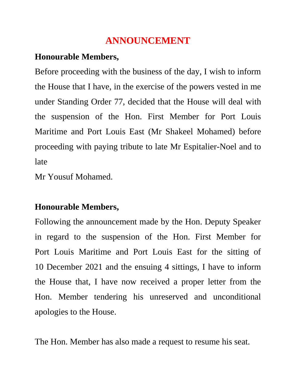## **ANNOUNCEMENT**

## **Honourable Members,**

Before proceeding with the business of the day, I wish to inform the House that I have, in the exercise of the powers vested in me under Standing Order 77, decided that the House will deal with the suspension of the Hon. First Member for Port Louis Maritime and Port Louis East (Mr Shakeel Mohamed) before proceeding with paying tribute to late Mr Espitalier-Noel and to late

Mr Yousuf Mohamed.

## **Honourable Members,**

Following the announcement made by the Hon. Deputy Speaker in regard to the suspension of the Hon. First Member for Port Louis Maritime and Port Louis East for the sitting of 10 December 2021 and the ensuing 4 sittings, I have to inform the House that, I have now received a proper letter from the Hon. Member tendering his unreserved and unconditional apologies to the House.

The Hon. Member has also made a request to resume his seat.